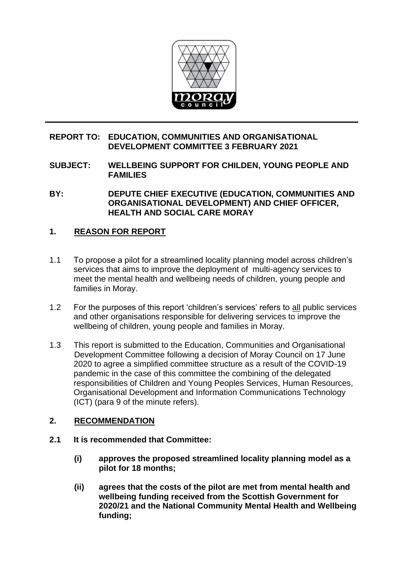

## **REPORT TO: EDUCATION, COMMUNITIES AND ORGANISATIONAL DEVELOPMENT COMMITTEE 3 FEBRUARY 2021**

**SUBJECT: WELLBEING SUPPORT FOR CHILDEN, YOUNG PEOPLE AND FAMILIES** 

**BY: DEPUTE CHIEF EXECUTIVE (EDUCATION, COMMUNITIES AND ORGANISATIONAL DEVELOPMENT) AND CHIEF OFFICER, HEALTH AND SOCIAL CARE MORAY**

# **1. REASON FOR REPORT**

- 1.1 To propose a pilot for a streamlined locality planning model across children's services that aims to improve the deployment of multi-agency services to meet the mental health and wellbeing needs of children, young people and families in Moray.
- 1.2 For the purposes of this report 'children's services' refers to all public services and other organisations responsible for delivering services to improve the wellbeing of children, young people and families in Moray.
- 1.3 This report is submitted to the Education, Communities and Organisational Development Committee following a decision of Moray Council on 17 June 2020 to agree a simplified committee structure as a result of the COVID-19 pandemic in the case of this committee the combining of the delegated responsibilities of Children and Young Peoples Services, Human Resources, Organisational Development and Information Communications Technology (ICT) (para 9 of the minute refers).

#### **2. RECOMMENDATION**

- **2.1 It is recommended that Committee:**
	- **(i) approves the proposed streamlined locality planning model as a pilot for 18 months;**
	- **(ii) agrees that the costs of the pilot are met from mental health and wellbeing funding received from the Scottish Government for 2020/21 and the National Community Mental Health and Wellbeing funding;**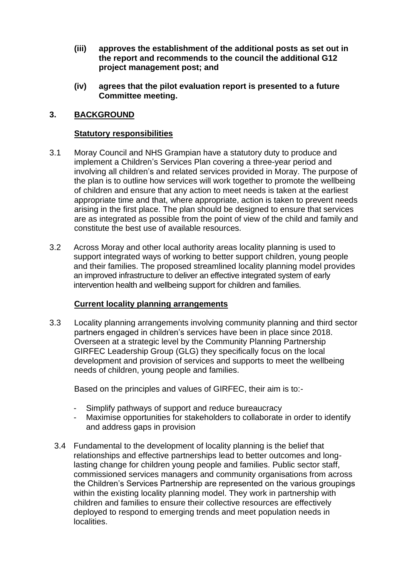- **(iii) approves the establishment of the additional posts as set out in the report and recommends to the council the additional G12 project management post; and**
- **(iv) agrees that the pilot evaluation report is presented to a future Committee meeting.**

## **3. BACKGROUND**

#### **Statutory responsibilities**

- 3.1 Moray Council and NHS Grampian have a statutory duty to produce and implement a Children's Services Plan covering a three-year period and involving all children's and related services provided in Moray. The purpose of the plan is to outline how services will work together to promote the wellbeing of children and ensure that any action to meet needs is taken at the earliest appropriate time and that, where appropriate, action is taken to prevent needs arising in the first place. The plan should be designed to ensure that services are as integrated as possible from the point of view of the child and family and constitute the best use of available resources.
- 3.2 Across Moray and other local authority areas locality planning is used to support integrated ways of working to better support children, young people and their families. The proposed streamlined locality planning model provides an improved infrastructure to deliver an effective integrated system of early intervention health and wellbeing support for children and families.

#### **Current locality planning arrangements**

3.3 Locality planning arrangements involving community planning and third sector partners engaged in children's services have been in place since 2018. Overseen at a strategic level by the Community Planning Partnership GIRFEC Leadership Group (GLG) they specifically focus on the local development and provision of services and supports to meet the wellbeing needs of children, young people and families.

Based on the principles and values of GIRFEC, their aim is to:-

- Simplify pathways of support and reduce bureaucracy
- Maximise opportunities for stakeholders to collaborate in order to identify and address gaps in provision
- 3.4 Fundamental to the development of locality planning is the belief that relationships and effective partnerships lead to better outcomes and longlasting change for children young people and families. Public sector staff, commissioned services managers and community organisations from across the Children's Services Partnership are represented on the various groupings within the existing locality planning model. They work in partnership with children and families to ensure their collective resources are effectively deployed to respond to emerging trends and meet population needs in localities.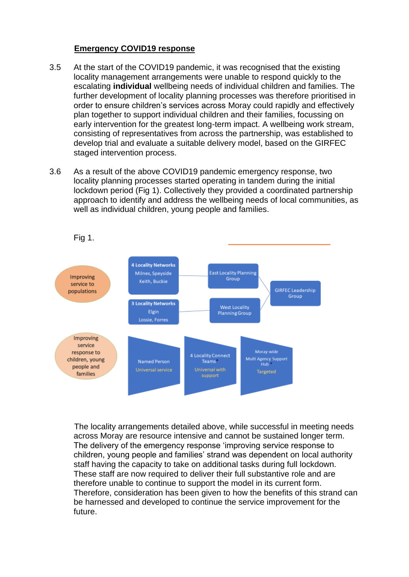#### **Emergency COVID19 response**

- 3.5 At the start of the COVID19 pandemic, it was recognised that the existing locality management arrangements were unable to respond quickly to the escalating **individual** wellbeing needs of individual children and families. The further development of locality planning processes was therefore prioritised in order to ensure children's services across Moray could rapidly and effectively plan together to support individual children and their families, focussing on early intervention for the greatest long-term impact. A wellbeing work stream, consisting of representatives from across the partnership, was established to develop trial and evaluate a suitable delivery model, based on the GIRFEC staged intervention process.
- 3.6 As a result of the above COVID19 pandemic emergency response, two locality planning processes started operating in tandem during the initial lockdown period (Fig 1). Collectively they provided a coordinated partnership approach to identify and address the wellbeing needs of local communities, as well as individual children, young people and families.



The locality arrangements detailed above, while successful in meeting needs across Moray are resource intensive and cannot be sustained longer term. The delivery of the emergency response 'improving service response to children, young people and families' strand was dependent on local authority staff having the capacity to take on additional tasks during full lockdown. These staff are now required to deliver their full substantive role and are therefore unable to continue to support the model in its current form. Therefore, consideration has been given to how the benefits of this strand can be harnessed and developed to continue the service improvement for the future.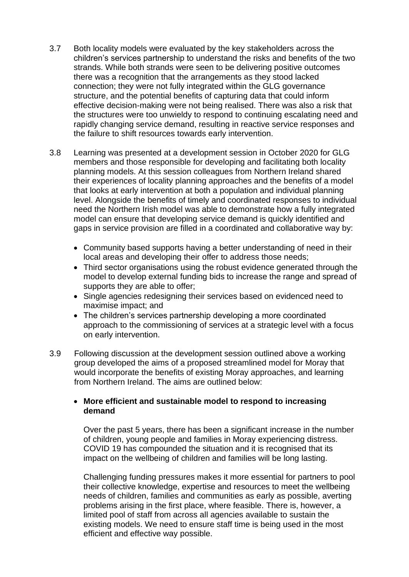- 3.7 Both locality models were evaluated by the key stakeholders across the children's services partnership to understand the risks and benefits of the two strands. While both strands were seen to be delivering positive outcomes there was a recognition that the arrangements as they stood lacked connection; they were not fully integrated within the GLG governance structure, and the potential benefits of capturing data that could inform effective decision-making were not being realised. There was also a risk that the structures were too unwieldy to respond to continuing escalating need and rapidly changing service demand, resulting in reactive service responses and the failure to shift resources towards early intervention.
- 3.8 Learning was presented at a development session in October 2020 for GLG members and those responsible for developing and facilitating both locality planning models. At this session colleagues from Northern Ireland shared their experiences of locality planning approaches and the benefits of a model that looks at early intervention at both a population and individual planning level. Alongside the benefits of timely and coordinated responses to individual need the Northern Irish model was able to demonstrate how a fully integrated model can ensure that developing service demand is quickly identified and gaps in service provision are filled in a coordinated and collaborative way by:
	- Community based supports having a better understanding of need in their local areas and developing their offer to address those needs;
	- Third sector organisations using the robust evidence generated through the model to develop external funding bids to increase the range and spread of supports they are able to offer;
	- Single agencies redesigning their services based on evidenced need to maximise impact; and
	- The children's services partnership developing a more coordinated approach to the commissioning of services at a strategic level with a focus on early intervention.
- 3.9 Following discussion at the development session outlined above a working group developed the aims of a proposed streamlined model for Moray that would incorporate the benefits of existing Moray approaches, and learning from Northern Ireland. The aims are outlined below:

#### • **More efficient and sustainable model to respond to increasing demand**

Over the past 5 years, there has been a significant increase in the number of children, young people and families in Moray experiencing distress. COVID 19 has compounded the situation and it is recognised that its impact on the wellbeing of children and families will be long lasting.

Challenging funding pressures makes it more essential for partners to pool their collective knowledge, expertise and resources to meet the wellbeing needs of children, families and communities as early as possible, averting problems arising in the first place, where feasible. There is, however, a limited pool of staff from across all agencies available to sustain the existing models. We need to ensure staff time is being used in the most efficient and effective way possible.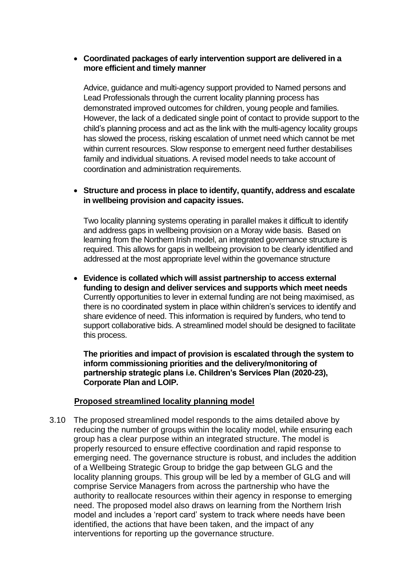#### • **Coordinated packages of early intervention support are delivered in a more efficient and timely manner**

Advice, guidance and multi-agency support provided to Named persons and Lead Professionals through the current locality planning process has demonstrated improved outcomes for children, young people and families. However, the lack of a dedicated single point of contact to provide support to the child's planning process and act as the link with the multi-agency locality groups has slowed the process, risking escalation of unmet need which cannot be met within current resources. Slow response to emergent need further destabilises family and individual situations. A revised model needs to take account of coordination and administration requirements.

## • **Structure and process in place to identify, quantify, address and escalate in wellbeing provision and capacity issues.**

Two locality planning systems operating in parallel makes it difficult to identify and address gaps in wellbeing provision on a Moray wide basis. Based on learning from the Northern Irish model, an integrated governance structure is required. This allows for gaps in wellbeing provision to be clearly identified and addressed at the most appropriate level within the governance structure

• **Evidence is collated which will assist partnership to access external funding to design and deliver services and supports which meet needs** Currently opportunities to lever in external funding are not being maximised, as there is no coordinated system in place within children's services to identify and share evidence of need. This information is required by funders, who tend to support collaborative bids. A streamlined model should be designed to facilitate this process.

**The priorities and impact of provision is escalated through the system to inform commissioning priorities and the delivery/monitoring of partnership strategic plans i.e. Children's Services Plan (2020-23), Corporate Plan and LOIP.**

#### **Proposed streamlined locality planning model**

3.10 The proposed streamlined model responds to the aims detailed above by reducing the number of groups within the locality model, while ensuring each group has a clear purpose within an integrated structure. The model is properly resourced to ensure effective coordination and rapid response to emerging need. The governance structure is robust, and includes the addition of a Wellbeing Strategic Group to bridge the gap between GLG and the locality planning groups. This group will be led by a member of GLG and will comprise Service Managers from across the partnership who have the authority to reallocate resources within their agency in response to emerging need. The proposed model also draws on learning from the Northern Irish model and includes a 'report card' system to track where needs have been identified, the actions that have been taken, and the impact of any interventions for reporting up the governance structure.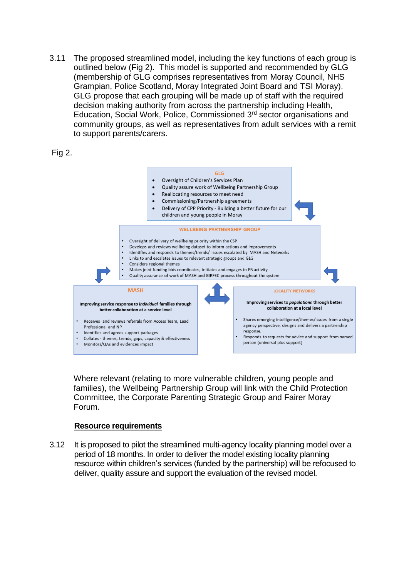3.11 The proposed streamlined model, including the key functions of each group is outlined below (Fig 2). This model is supported and recommended by GLG (membership of GLG comprises representatives from Moray Council, NHS Grampian, Police Scotland, Moray Integrated Joint Board and TSI Moray). GLG propose that each grouping will be made up of staff with the required decision making authority from across the partnership including Health, Education, Social Work, Police, Commissioned 3rd sector organisations and community groups, as well as representatives from adult services with a remit to support parents/carers.





Where relevant (relating to more vulnerable children, young people and families), the Wellbeing Partnership Group will link with the Child Protection Committee, the Corporate Parenting Strategic Group and Fairer Moray Forum.

#### **Resource requirements**

3.12 It is proposed to pilot the streamlined multi-agency locality planning model over a period of 18 months. In order to deliver the model existing locality planning resource within children's services (funded by the partnership) will be refocused to deliver, quality assure and support the evaluation of the revised model.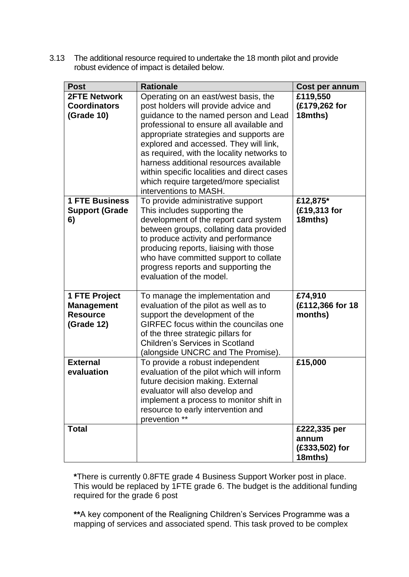3.13 The additional resource required to undertake the 18 month pilot and provide robust evidence of impact is detailed below.

| <b>Post</b>                                                                | <b>Rationale</b>                                                                                                                                                                                                                                                                                                                                                                                                                                                  | Cost per annum                                     |
|----------------------------------------------------------------------------|-------------------------------------------------------------------------------------------------------------------------------------------------------------------------------------------------------------------------------------------------------------------------------------------------------------------------------------------------------------------------------------------------------------------------------------------------------------------|----------------------------------------------------|
| <b>2FTE Network</b><br><b>Coordinators</b><br><b>(Grade 10)</b>            | Operating on an east/west basis, the<br>post holders will provide advice and<br>guidance to the named person and Lead<br>professional to ensure all available and<br>appropriate strategies and supports are<br>explored and accessed. They will link,<br>as required, with the locality networks to<br>harness additional resources available<br>within specific localities and direct cases<br>which require targeted/more specialist<br>interventions to MASH. | £119,550<br>(£179,262 for<br>18mths)               |
| <b>1 FTE Business</b><br><b>Support (Grade</b><br>6)                       | To provide administrative support<br>This includes supporting the<br>development of the report card system<br>between groups, collating data provided<br>to produce activity and performance<br>producing reports, liaising with those<br>who have committed support to collate<br>progress reports and supporting the<br>evaluation of the model.                                                                                                                | £12,875*<br>(£19,313 for<br>18mths)                |
| 1 FTE Project<br><b>Management</b><br><b>Resource</b><br><b>(Grade 12)</b> | To manage the implementation and<br>evaluation of the pilot as well as to<br>support the development of the<br>GIRFEC focus within the councilas one<br>of the three strategic pillars for<br><b>Children's Services in Scotland</b><br>(alongside UNCRC and The Promise).                                                                                                                                                                                        | £74,910<br>(£112,366 for 18<br>months)             |
| <b>External</b><br>evaluation                                              | To provide a robust independent<br>evaluation of the pilot which will inform<br>future decision making. External<br>evaluator will also develop and<br>implement a process to monitor shift in<br>resource to early intervention and<br>prevention **                                                                                                                                                                                                             | £15,000                                            |
| <b>Total</b>                                                               |                                                                                                                                                                                                                                                                                                                                                                                                                                                                   | £222,335 per<br>annum<br>(£333,502) for<br>18mths) |

**\***There is currently 0.8FTE grade 4 Business Support Worker post in place. This would be replaced by 1FTE grade 6. The budget is the additional funding required for the grade 6 post

**\*\***A key component of the Realigning Children's Services Programme was a mapping of services and associated spend. This task proved to be complex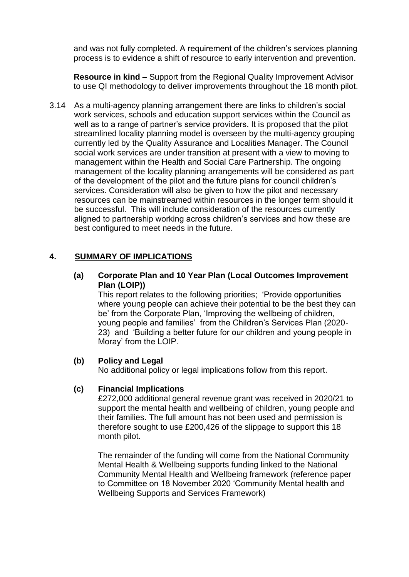and was not fully completed. A requirement of the children's services planning process is to evidence a shift of resource to early intervention and prevention.

**Resource in kind –** Support from the Regional Quality Improvement Advisor to use QI methodology to deliver improvements throughout the 18 month pilot.

3.14 As a multi-agency planning arrangement there are links to children's social work services, schools and education support services within the Council as well as to a range of partner's service providers. It is proposed that the pilot streamlined locality planning model is overseen by the multi-agency grouping currently led by the Quality Assurance and Localities Manager. The Council social work services are under transition at present with a view to moving to management within the Health and Social Care Partnership. The ongoing management of the locality planning arrangements will be considered as part of the development of the pilot and the future plans for council children's services. Consideration will also be given to how the pilot and necessary resources can be mainstreamed within resources in the longer term should it be successful. This will include consideration of the resources currently aligned to partnership working across children's services and how these are best configured to meet needs in the future.

#### **4. SUMMARY OF IMPLICATIONS**

**(a) Corporate Plan and 10 Year Plan (Local Outcomes Improvement Plan (LOIP))**

This report relates to the following priorities; 'Provide opportunities where young people can achieve their potential to be the best they can be' from the Corporate Plan, 'Improving the wellbeing of children, young people and families' from the Children's Services Plan (2020- 23) and 'Building a better future for our children and young people in Moray' from the LOIP.

#### **(b) Policy and Legal**

No additional policy or legal implications follow from this report.

#### **(c) Financial Implications**

£272,000 additional general revenue grant was received in 2020/21 to support the mental health and wellbeing of children, young people and their families. The full amount has not been used and permission is therefore sought to use £200,426 of the slippage to support this 18 month pilot.

The remainder of the funding will come from the National Community Mental Health & Wellbeing supports funding linked to the National Community Mental Health and Wellbeing framework (reference paper to Committee on 18 November 2020 'Community Mental health and Wellbeing Supports and Services Framework)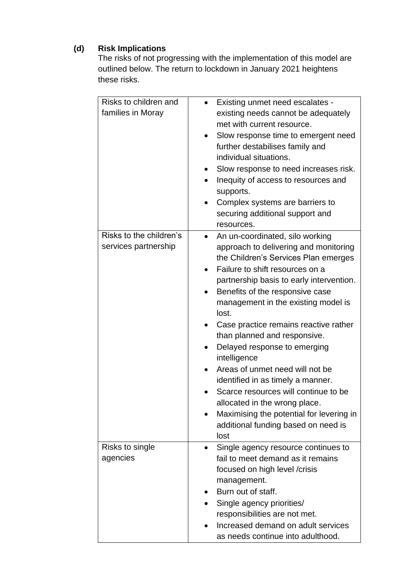# **(d) Risk Implications**

The risks of not progressing with the implementation of this model are outlined below. The return to lockdown in January 2021 heightens these risks.

| Risks to children and<br>families in Moray      | Existing unmet need escalates -<br>existing needs cannot be adequately<br>met with current resource.<br>Slow response time to emergent need<br>further destabilises family and<br>individual situations.<br>Slow response to need increases risk.<br>Inequity of access to resources and<br>$\bullet$<br>supports.<br>Complex systems are barriers to<br>securing additional support and<br>resources.                                                                                                                                                                                                                                                  |
|-------------------------------------------------|---------------------------------------------------------------------------------------------------------------------------------------------------------------------------------------------------------------------------------------------------------------------------------------------------------------------------------------------------------------------------------------------------------------------------------------------------------------------------------------------------------------------------------------------------------------------------------------------------------------------------------------------------------|
| Risks to the children's<br>services partnership | An un-coordinated, silo working<br>approach to delivering and monitoring<br>the Children's Services Plan emerges<br>Failure to shift resources on a<br>partnership basis to early intervention.<br>Benefits of the responsive case<br>management in the existing model is<br>lost.<br>Case practice remains reactive rather<br>than planned and responsive.<br>Delayed response to emerging<br>intelligence<br>Areas of unmet need will not be<br>identified in as timely a manner.<br>Scarce resources will continue to be<br>allocated in the wrong place.<br>Maximising the potential for levering in<br>additional funding based on need is<br>lost |
| Risks to single<br>agencies                     | Single agency resource continues to<br>$\bullet$<br>fail to meet demand as it remains<br>focused on high level /crisis<br>management.<br>Burn out of staff.<br>Single agency priorities/<br>responsibilities are not met.<br>Increased demand on adult services<br>as needs continue into adulthood.                                                                                                                                                                                                                                                                                                                                                    |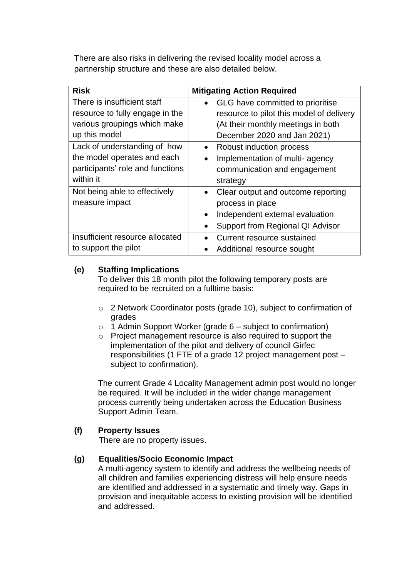There are also risks in delivering the revised locality model across a partnership structure and these are also detailed below.

| <b>Risk</b>                      | <b>Mitigating Action Required</b>            |
|----------------------------------|----------------------------------------------|
| There is insufficient staff      | GLG have committed to prioritise             |
| resource to fully engage in the  | resource to pilot this model of delivery     |
| various groupings which make     | (At their monthly meetings in both           |
| up this model                    | December 2020 and Jan 2021)                  |
| Lack of understanding of how     | Robust induction process                     |
| the model operates and each      | Implementation of multi-agency               |
| participants' role and functions | communication and engagement                 |
| within it                        | strategy                                     |
| Not being able to effectively    | Clear output and outcome reporting           |
| measure impact                   | process in place                             |
|                                  | Independent external evaluation<br>$\bullet$ |
|                                  | Support from Regional QI Advisor             |
| Insufficient resource allocated  | Current resource sustained                   |
| to support the pilot             | Additional resource sought                   |

# **(e) Staffing Implications**

To deliver this 18 month pilot the following temporary posts are required to be recruited on a fulltime basis:

- o 2 Network Coordinator posts (grade 10), subject to confirmation of grades
- $\circ$  1 Admin Support Worker (grade 6 subject to confirmation)
- o Project management resource is also required to support the implementation of the pilot and delivery of council Girfec responsibilities (1 FTE of a grade 12 project management post – subject to confirmation).

The current Grade 4 Locality Management admin post would no longer be required. It will be included in the wider change management process currently being undertaken across the Education Business Support Admin Team.

# **(f) Property Issues**

There are no property issues.

# **(g) Equalities/Socio Economic Impact**

A multi-agency system to identify and address the wellbeing needs of all children and families experiencing distress will help ensure needs are identified and addressed in a systematic and timely way. Gaps in provision and inequitable access to existing provision will be identified and addressed.